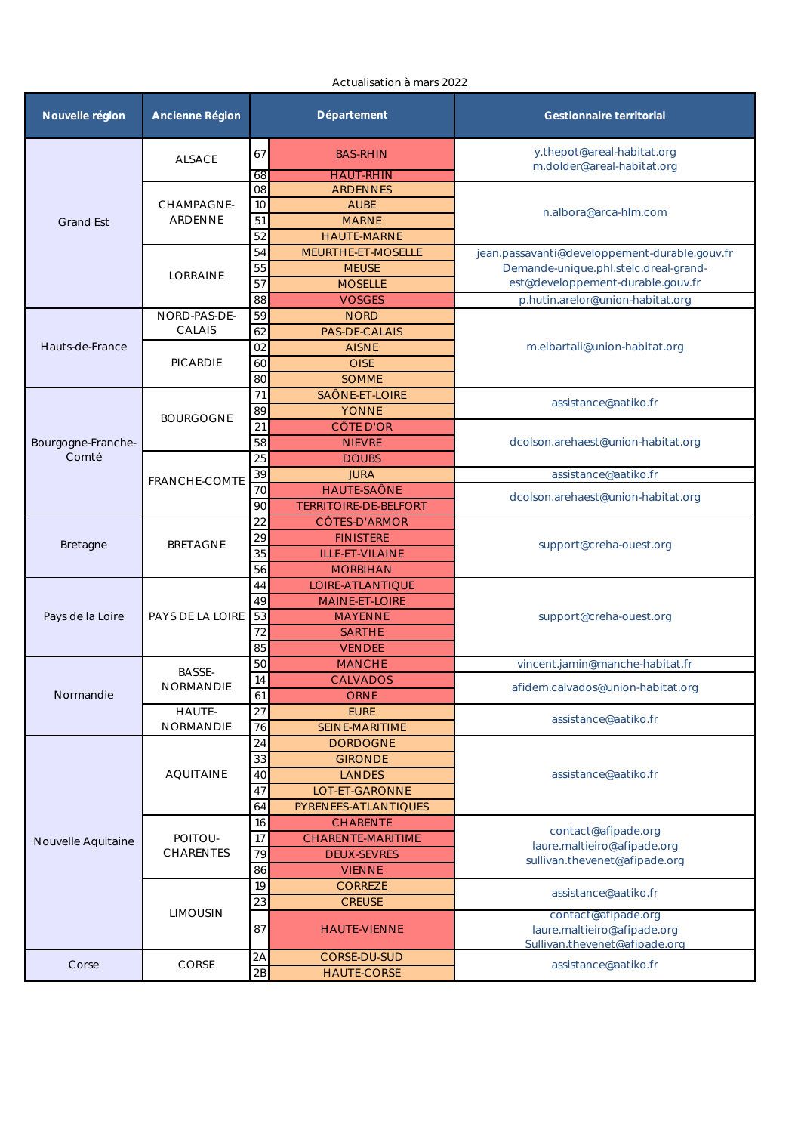| Nouvelle région    | Ancienne Région              | Département      |                                        | Gestionnaire territorial                                                            |  |
|--------------------|------------------------------|------------------|----------------------------------------|-------------------------------------------------------------------------------------|--|
|                    | <b>ALSACE</b>                | 67               | <b>BAS-RHIN</b>                        | y.thepot@areal-habitat.org<br>m.dolder@areal-habitat.org                            |  |
|                    |                              | 68<br>${\rm O}8$ | <b>HAUT-RHIN</b><br><b>ARDENNES</b>    |                                                                                     |  |
| <b>Grand Est</b>   | CHAMPAGNE-<br><b>ARDENNE</b> | 10               | <b>AUBE</b>                            |                                                                                     |  |
|                    |                              | 51               | <b>MARNE</b>                           | n.albora@arca-hlm.com                                                               |  |
|                    |                              | 52               | <b>HAUTE-MARNE</b>                     |                                                                                     |  |
|                    | LORRAINE                     | 54               | MEURTHE-ET-MOSELLE                     | jean.passavanti@developpement-durable.gouv.fr                                       |  |
|                    |                              | 55               | <b>MEUSE</b>                           | Demande-unique.phl.stelc.dreal-grand-                                               |  |
|                    |                              | 57               | <b>MOSELLE</b>                         | est@developpement-durable.gouv.fr                                                   |  |
|                    |                              | 88               | <b>VOSGES</b>                          | p.hutin.arelor@union-habitat.org                                                    |  |
|                    | NORD-PAS-DE-<br>CALAIS       | 59               | <b>NORD</b>                            |                                                                                     |  |
|                    |                              | 62               | PAS-DE-CALAIS                          |                                                                                     |  |
| Hauts-de-France    | PICARDIE                     | 02               | <b>AISNE</b>                           | m.elbartali@union-habitat.org                                                       |  |
|                    |                              | 60               | <b>OISE</b>                            |                                                                                     |  |
|                    |                              | 80               | <b>SOMME</b>                           |                                                                                     |  |
|                    |                              | 71               | SAÔNE-ET-LOIRE                         |                                                                                     |  |
|                    |                              | 89               | <b>YONNE</b>                           | assistance@aatiko.fr                                                                |  |
|                    | <b>BOURGOGNE</b>             | 21               | CÔTE D'OR                              |                                                                                     |  |
| Bourgogne-Franche- |                              | 58               | <b>NIEVRE</b>                          | dcolson.arehaest@union-habitat.org                                                  |  |
| Comté              |                              | 25               | <b>DOUBS</b>                           |                                                                                     |  |
|                    | FRANCHE-COMTE                | 39               | <b>JURA</b>                            | assistance@aatiko.fr                                                                |  |
|                    |                              | 70               | HAUTE-SAÔNE                            | dcolson.arehaest@union-habitat.org                                                  |  |
|                    |                              | 90               | TERRITOIRE-DE-BELFORT                  |                                                                                     |  |
|                    | <b>BRETAGNE</b>              | 22               | CÔTES-D'ARMOR                          |                                                                                     |  |
| Bretagne           |                              | 29               | <b>FINISTERE</b>                       | support@creha-ouest.org                                                             |  |
|                    |                              | 35               | ILLE-ET-VILAINE                        |                                                                                     |  |
|                    |                              | 56               | <b>MORBIHAN</b>                        |                                                                                     |  |
|                    | PAYS DE LA LOIRE             | 44               | LOIRE-ATLANTIQUE                       |                                                                                     |  |
|                    |                              | 49               | MAINE-ET-LOIRE                         |                                                                                     |  |
| Pays de la Loire   |                              | 53               | <b>MAYENNE</b>                         | support@creha-ouest.org                                                             |  |
|                    |                              | 72               | <b>SARTHE</b>                          |                                                                                     |  |
|                    |                              | 85               | <b>VENDEE</b>                          |                                                                                     |  |
|                    | <b>BASSE-</b><br>NORMANDIE   | 50               | <b>MANCHE</b>                          | vincent.jamin@manche-habitat.fr                                                     |  |
| Normandie          |                              | 14               | <b>CALVADOS</b>                        | afidem.calvados@union-habitat.org                                                   |  |
|                    |                              | 61               | <b>ORNE</b>                            |                                                                                     |  |
|                    | <b>HAUTE-</b>                | 27               | <b>EURE</b>                            | assistance@aatiko.fr                                                                |  |
|                    | NORMANDIE                    | 76               | SEINE-MARITIME                         |                                                                                     |  |
|                    | <b>AQUITAINE</b>             | 24               | <b>DORDOGNE</b>                        | assistance@aatiko.fr                                                                |  |
|                    |                              | 33               | <b>GIRONDE</b>                         |                                                                                     |  |
|                    |                              | 40<br>47         | <b>LANDES</b>                          |                                                                                     |  |
|                    |                              | 64               | LOT-ET-GARONNE<br>PYRENEES-ATLANTIQUES |                                                                                     |  |
|                    | POITOU-                      | 16               | <b>CHARENTE</b>                        |                                                                                     |  |
|                    |                              | 17               | CHARENTE-MARITIME                      | contact@afipade.org<br>laure.maltieiro@afipade.org<br>sullivan.thevenet@afipade.org |  |
| Nouvelle Aquitaine | CHARENTES                    | 79               | <b>DEUX-SEVRES</b>                     |                                                                                     |  |
|                    |                              | 86               | <b>VIENNE</b>                          |                                                                                     |  |
|                    | <b>LIMOUSIN</b>              | 19               | <b>CORREZE</b>                         |                                                                                     |  |
|                    |                              | 23               | <b>CREUSE</b>                          | assistance@aatiko.fr                                                                |  |
|                    |                              | 87               | <b>HAUTE-VIENNE</b>                    | contact@afipade.org<br>laure.maltieiro@afipade.org<br>Sullivan.thevenet@afipade.org |  |
| Corse              | CORSE                        | 2A<br>2B         | CORSE-DU-SUD<br><b>HAUTE-CORSE</b>     | assistance@aatiko.fr                                                                |  |
|                    |                              |                  |                                        |                                                                                     |  |

## Actualisation à mars 2022